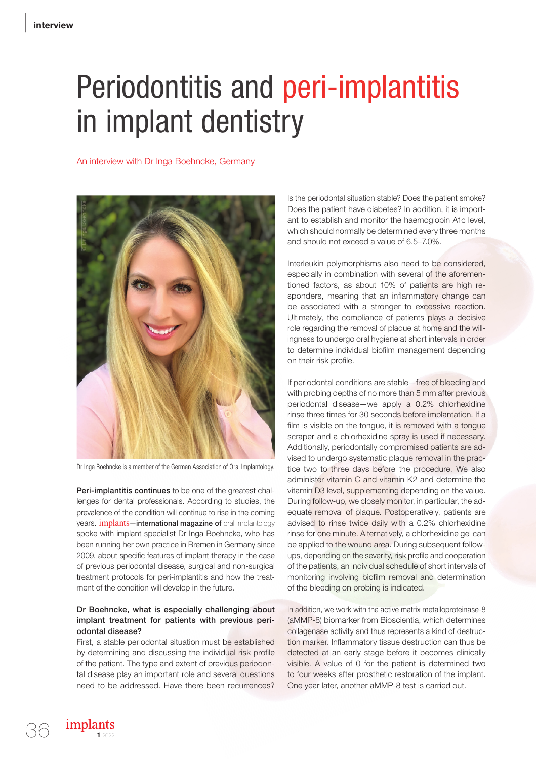## Periodontitis and peri-implantitis in implant dentistry

An interview with Dr Inga Boehncke, Germany



Peri-implantitis continues to be one of the greatest challenges for dental professionals. According to studies, the prevalence of the condition will continue to rise in the coming years. **implants-international magazine of** oral implantology spoke with implant specialist Dr Inga Boehncke, who has been running her own practice in Bremen in Germany since 2009, about specific features of implant therapy in the case of previous periodontal disease, surgical and non-surgical treatment protocols for peri-implantitis and how the treatment of the condition will develop in the future.

## Dr Boehncke, what is especially challenging about implant treatment for patients with previous periodontal disease?

First, a stable periodontal situation must be established by determining and discussing the individual risk profile of the patient. The type and extent of previous periodontal disease play an important role and several questions need to be addressed. Have there been recurrences?

Is the periodontal situation stable? Does the patient smoke? Does the patient have diabetes? In addition, it is important to establish and monitor the haemoglobin A1c level, which should normally be determined every three months and should not exceed a value of 6.5–7.0%.

Interleukin polymorphisms also need to be considered, especially in combination with several of the aforementioned factors, as about 10% of patients are high responders, meaning that an inflammatory change can be associated with a stronger to excessive reaction. Ultimately, the compliance of patients plays a decisive role regarding the removal of plaque at home and the willingness to undergo oral hygiene at short intervals in order to determine individual biofilm management depending on their risk profile.

If periodontal conditions are stable—free of bleeding and with probing depths of no more than 5 mm after previous periodontal disease—we apply a 0.2% chlorhexidine rinse three times for 30 seconds before implantation. If a film is visible on the tongue, it is removed with a tongue scraper and a chlorhexidine spray is used if necessary. Additionally, periodontally compromised patients are advised to undergo systematic plaque removal in the practice two to three days before the procedure. We also administer vitamin C and vitamin K2 and determine the vitamin D3 level, supplementing depending on the value. During follow-up, we closely monitor, in particular, the adequate removal of plaque. Postoperatively, patients are advised to rinse twice daily with a 0.2% chlorhexidine rinse for one minute. Alternatively, a chlorhexidine gel can be applied to the wound area. During subsequent followups, depending on the severity, risk profile and cooperation of the patients, an individual schedule of short intervals of monitoring involving biofilm removal and determination of the bleeding on probing is indicated.

In addition, we work with the active matrix metalloproteinase-8 (aMMP-8) biomarker from Bioscientia, which determines collagenase activity and thus represents a kind of destruction marker. Inflammatory tissue destruction can thus be detected at an early stage before it becomes clinically visible. A value of 0 for the patient is determined two to four weeks after prosthetic restoration of the implant. One year later, another aMMP-8 test is carried out.